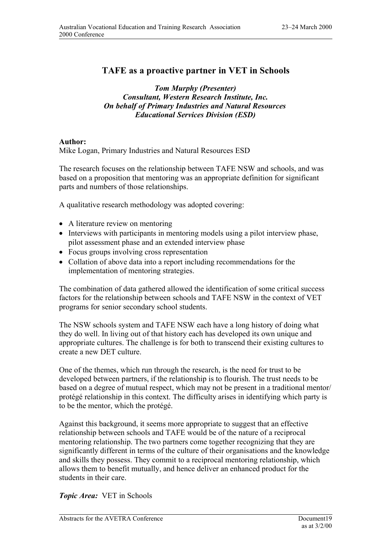## **TAFE as a proactive partner in VET in Schools**

*Tom Murphy (Presenter) Consultant, Western Research Institute, Inc. On behalf of Primary Industries and Natural Resources Educational Services Division (ESD)*

## **Author:**

Mike Logan, Primary Industries and Natural Resources ESD

The research focuses on the relationship between TAFE NSW and schools, and was based on a proposition that mentoring was an appropriate definition for significant parts and numbers of those relationships.

A qualitative research methodology was adopted covering:

- A literature review on mentoring
- Interviews with participants in mentoring models using a pilot interview phase, pilot assessment phase and an extended interview phase
- Focus groups involving cross representation
- Collation of above data into a report including recommendations for the implementation of mentoring strategies.

The combination of data gathered allowed the identification of some critical success factors for the relationship between schools and TAFE NSW in the context of VET programs for senior secondary school students.

The NSW schools system and TAFE NSW each have a long history of doing what they do well. In living out of that history each has developed its own unique and appropriate cultures. The challenge is for both to transcend their existing cultures to create a new DET culture.

One of the themes, which run through the research, is the need for trust to be developed between partners, if the relationship is to flourish. The trust needs to be based on a degree of mutual respect, which may not be present in a traditional mentor/ protégé relationship in this context. The difficulty arises in identifying which party is to be the mentor, which the protégé.

Against this background, it seems more appropriate to suggest that an effective relationship between schools and TAFE would be of the nature of a reciprocal mentoring relationship. The two partners come together recognizing that they are significantly different in terms of the culture of their organisations and the knowledge and skills they possess. They commit to a reciprocal mentoring relationship, which allows them to benefit mutually, and hence deliver an enhanced product for the students in their care.

*Topic Area:* VET in Schools